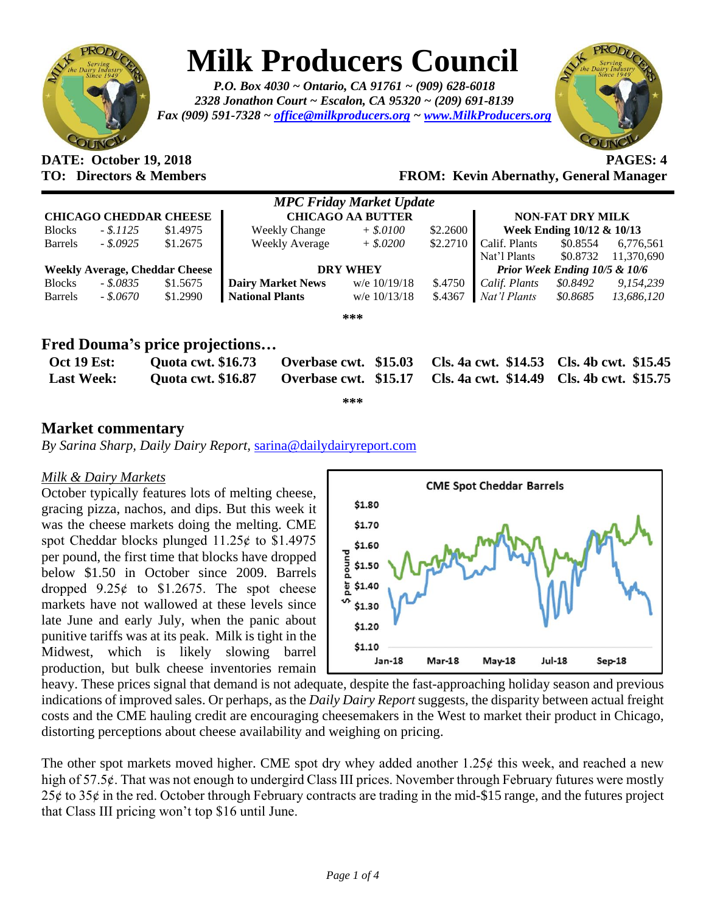

# **Milk Producers Council**

*P.O. Box 4030 ~ Ontario, CA 91761 ~ (909) 628-6018 2328 Jonathon Court ~ Escalon, CA 95320 ~ (209) 691-8139 Fax (909) 591-7328 ~ [office@milkproducers.org](mailto:office@milkproducers.org) ~ [www.MilkProducers.org](http://www.milkproducers.org/)*



## **DATE: October 19, 2018 PAGES: 4**

**TO: Directors & Members FROM: Kevin Abernathy, General Manager**

|                                                |                                       |                          | <b>MPC Friday Market Update</b> |          |                                          |                      |                      |
|------------------------------------------------|---------------------------------------|--------------------------|---------------------------------|----------|------------------------------------------|----------------------|----------------------|
|                                                | <b>CHICAGO CHEDDAR CHEESE</b>         | <b>CHICAGO AA BUTTER</b> |                                 |          | <b>NON-FAT DRY MILK</b>                  |                      |                      |
| $-.1125$<br><b>Blocks</b>                      | \$1.4975                              | <b>Weekly Change</b>     | $+$ \$.0100                     | \$2.2600 | Week Ending 10/12 & 10/13                |                      |                      |
| <b>Barrels</b><br>$-.8.0925$                   | \$1.2675                              | <b>Weekly Average</b>    | $+$ \$.0200                     | \$2.2710 | Calif. Plants                            | \$0.8554             | 6.776.561            |
|                                                |                                       |                          |                                 |          | Nat'l Plants                             | \$0.8732             | 11.370.690           |
|                                                | <b>Weekly Average, Cheddar Cheese</b> | <b>DRY WHEY</b>          |                                 |          | <b>Prior Week Ending 10/5 &amp; 10/6</b> |                      |                      |
| <b>Blocks</b><br>- \$.0835                     | \$1.5675                              | <b>Dairy Market News</b> | w/e $10/19/18$                  | \$.4750  | Calif. Plants                            | \$0.8492             | 9,154,239            |
| - \$.0670<br><b>Barrels</b>                    | \$1.2990                              | <b>National Plants</b>   | w/e $10/13/18$                  | \$.4367  | Nat'l Plants                             | \$0.8685             | 13,686,120           |
|                                                |                                       |                          | ***                             |          |                                          |                      |                      |
|                                                | Fred Douma's price projections        |                          |                                 |          |                                          |                      |                      |
| <b>Oct 19 Est:</b>                             | <b>Quota cwt. \$16.73</b>             |                          | Overbase cwt. \$15.03           |          | Cls. 4a cwt. \$14.53                     | Cls. 4b cwt. \$15.45 |                      |
| <b>Quota cwt. \$16.87</b><br><b>Last Week:</b> |                                       |                          | Overbase cwt. \$15.17           |          | <b>Cls. 4a cwt. \$14.49</b>              |                      | Cls. 4b cwt. \$15.75 |

**\*\*\***

### **Market commentary**

*By Sarina Sharp, Daily Dairy Report,* [sarina@dailydairyreport.com](mailto:sarina@dailydairyreport.com)

### *Milk & Dairy Markets*

October typically features lots of melting cheese, gracing pizza, nachos, and dips. But this week it was the cheese markets doing the melting. CME spot Cheddar blocks plunged  $11.25¢$  to \$1.4975 per pound, the first time that blocks have dropped below \$1.50 in October since 2009. Barrels dropped  $9.25¢$  to \$1.2675. The spot cheese markets have not wallowed at these levels since late June and early July, when the panic about punitive tariffs was at its peak. Milk is tight in the Midwest, which is likely slowing barrel production, but bulk cheese inventories remain



heavy. These prices signal that demand is not adequate, despite the fast-approaching holiday season and previous indications of improved sales. Or perhaps, as the *Daily Dairy Report* suggests, the disparity between actual freight costs and the CME hauling credit are encouraging cheesemakers in the West to market their product in Chicago, distorting perceptions about cheese availability and weighing on pricing.

The other spot markets moved higher. CME spot dry whey added another  $1.25¢$  this week, and reached a new high of 57.5¢. That was not enough to undergird Class III prices. November through February futures were mostly  $25¢$  to  $35¢$  in the red. October through February contracts are trading in the mid-\$15 range, and the futures project that Class III pricing won't top \$16 until June.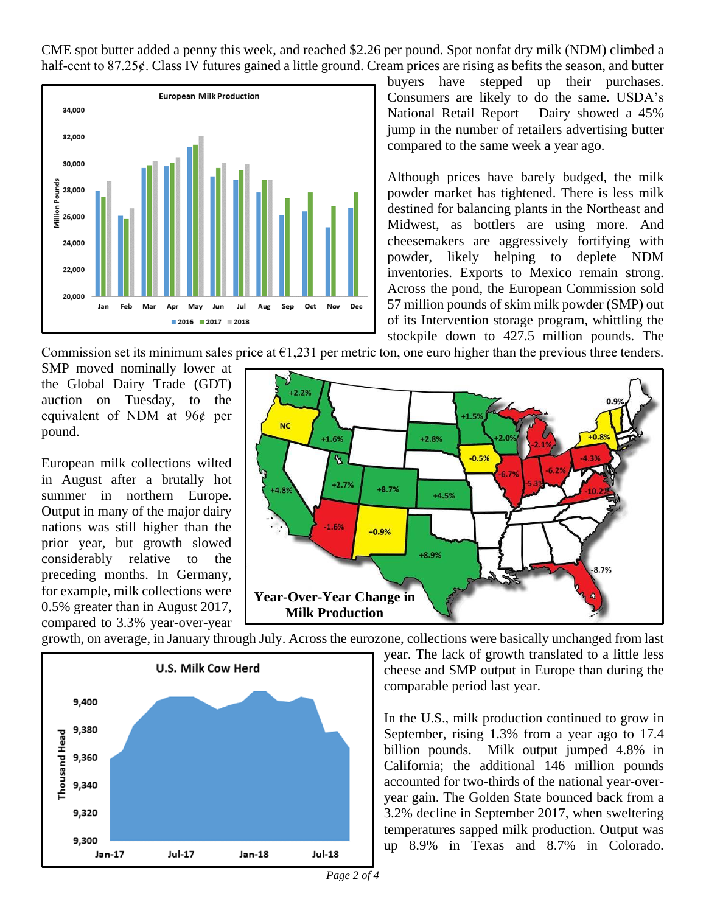CME spot butter added a penny this week, and reached \$2.26 per pound. Spot nonfat dry milk (NDM) climbed a half-cent to 87.25¢. Class IV futures gained a little ground. Cream prices are rising as befits the season, and butter



buyers have stepped up their purchases. Consumers are likely to do the same. USDA's National Retail Report – Dairy showed a 45% jump in the number of retailers advertising butter compared to the same week a year ago.

Although prices have barely budged, the milk powder market has tightened. There is less milk destined for balancing plants in the Northeast and Midwest, as bottlers are using more. And cheesemakers are aggressively fortifying with powder, likely helping to deplete NDM inventories. Exports to Mexico remain strong. Across the pond, the European Commission sold 57 million pounds of skim milk powder (SMP) out of its Intervention storage program, whittling the stockpile down to 427.5 million pounds. The

Commission set its minimum sales price at  $\epsilon$ 1,231 per metric ton, one euro higher than the previous three tenders.

SMP moved nominally lower at the Global Dairy Trade (GDT) auction on Tuesday, to the equivalent of NDM at  $96¢$  per pound.

European milk collections wilted in August after a brutally hot summer in northern Europe. Output in many of the major dairy nations was still higher than the prior year, but growth slowed considerably relative to the preceding months. In Germany, for example, milk collections were 0.5% greater than in August 2017, compared to 3.3% year-over-year



growth, on average, in January through July. Across the eurozone, collections were basically unchanged from last



year. The lack of growth translated to a little less cheese and SMP output in Europe than during the comparable period last year.

In the U.S., milk production continued to grow in September, rising 1.3% from a year ago to 17.4 billion pounds. Milk output jumped 4.8% in California; the additional 146 million pounds accounted for two-thirds of the national year-overyear gain. The Golden State bounced back from a 3.2% decline in September 2017, when sweltering temperatures sapped milk production. Output was up 8.9% in Texas and 8.7% in Colorado.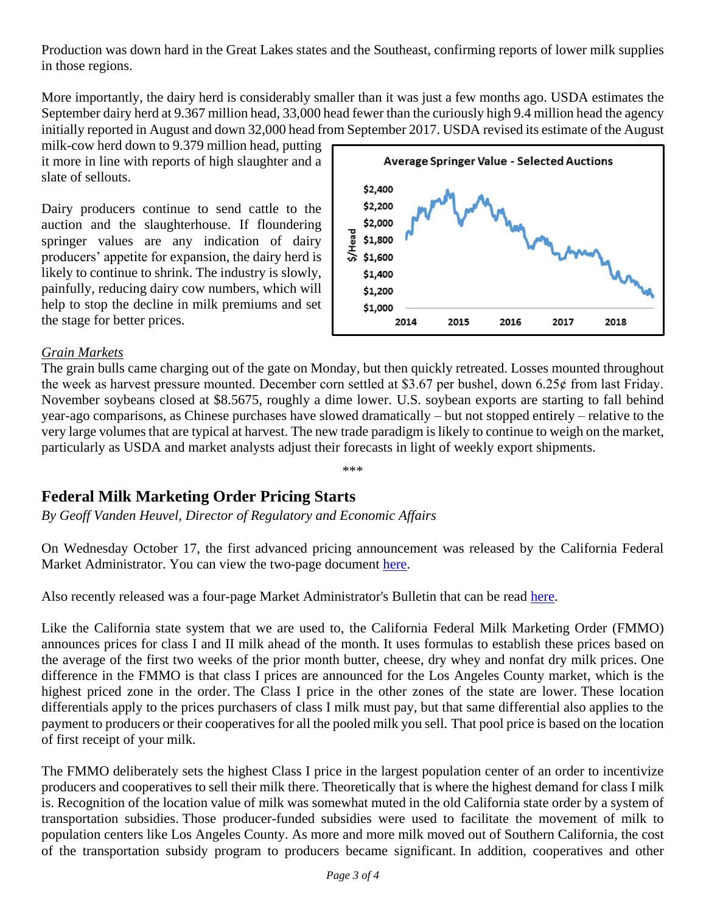Production was down hard in the Great Lakes states and the Southeast, confirming reports of lower milk supplies in those regions.

More importantly, the dairy herd is considerably smaller than it was just a few months ago. USDA estimates the September dairy herd at 9.367 million head, 33,000 head fewer than the curiously high 9.4 million head the agency initially reported in August and down 32,000 head from September 2017. USDA revised its estimate of the August

milk-cow herd down to 9.379 million head, putting it more in line with reports of high slaughter and a slate of sellouts.

Dairy producers continue to send cattle to the auction and the slaughterhouse. If floundering springer values are any indication of dairy producers' appetite for expansion, the dairy herd is likely to continue to shrink. The industry is slowly, painfully, reducing dairy cow numbers, which will help to stop the decline in milk premiums and set the stage for better prices.



### *Grain Markets*

The grain bulls came charging out of the gate on Monday, but then quickly retreated. Losses mounted throughout the week as harvest pressure mounted. December corn settled at \$3.67 per bushel, down  $6.25¢$  from last Friday. November soybeans closed at \$8.5675, roughly a dime lower. U.S. soybean exports are starting to fall behind year-ago comparisons, as Chinese purchases have slowed dramatically – but not stopped entirely – relative to the very large volumes that are typical at harvest. The new trade paradigm is likely to continue to weigh on the market, particularly as USDA and market analysts adjust their forecasts in light of weekly export shipments.

#### \*\*\*

### **Federal Milk Marketing Order Pricing Starts**

*By Geoff Vanden Heuvel, Director of Regulatory and Economic Affairs*

On Wednesday October 17, the first advanced pricing announcement was released by the California Federal Market Administrator. You can view the two-page document [here.](https://www.cafmmo.com/download-file/?s=true&folderMap=prices.advance&fileName=2018%2f201811+Advanced+Prices.pdf&ia=inline)

Also recently released was a four-page Market Administrator's Bulletin that can be read [here.](https://www.cafmmo.com/download-file/;jsessionid=AD8B3B324368C777E4A301F2A97AD291?s=true&folderMap=publications.bulletin&fileName=2018%2f201810+Bulletin.pdf&ia=inline)

Like the California state system that we are used to, the California Federal Milk Marketing Order (FMMO) announces prices for class I and II milk ahead of the month. It uses formulas to establish these prices based on the average of the first two weeks of the prior month butter, cheese, dry whey and nonfat dry milk prices. One difference in the FMMO is that class I prices are announced for the Los Angeles County market, which is the highest priced zone in the order. The Class I price in the other zones of the state are lower. These location differentials apply to the prices purchasers of class I milk must pay, but that same differential also applies to the payment to producers or their cooperatives for all the pooled milk you sell. That pool price is based on the location of first receipt of your milk.

The FMMO deliberately sets the highest Class I price in the largest population center of an order to incentivize producers and cooperatives to sell their milk there. Theoretically that is where the highest demand for class I milk is. Recognition of the location value of milk was somewhat muted in the old California state order by a system of transportation subsidies. Those producer-funded subsidies were used to facilitate the movement of milk to population centers like Los Angeles County. As more and more milk moved out of Southern California, the cost of the transportation subsidy program to producers became significant. In addition, cooperatives and other